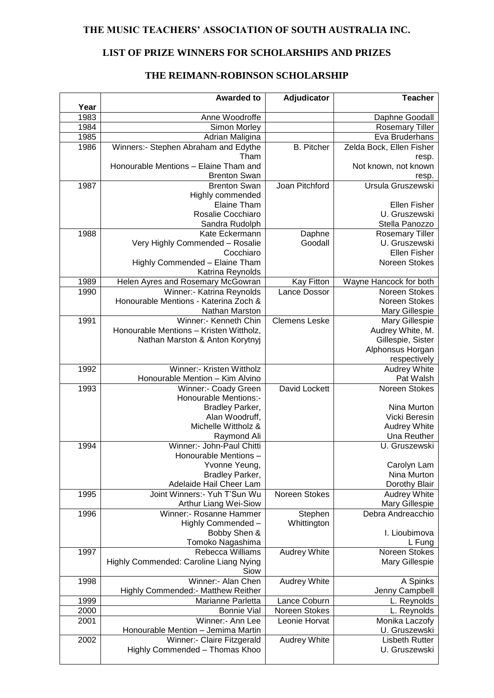### **THE MUSIC TEACHERS' ASSOCIATION OF SOUTH AUSTRALIA INC.**

## **LIST OF PRIZE WINNERS FOR SCHOLARSHIPS AND PRIZES**

### **THE REIMANN-ROBINSON SCHOLARSHIP**

| Year | <b>Awarded to</b>                                            | Adjudicator          | <b>Teacher</b>             |
|------|--------------------------------------------------------------|----------------------|----------------------------|
| 1983 | Anne Woodroffe                                               |                      | Daphne Goodall             |
|      |                                                              |                      |                            |
| 1984 | Simon Morley                                                 |                      | <b>Rosemary Tiller</b>     |
| 1985 | Adrian Maligina                                              |                      | Eva Bruderhans             |
| 1986 | Winners:- Stephen Abraham and Edythe                         | <b>B.</b> Pitcher    | Zelda Bock, Ellen Fisher   |
|      | Tham                                                         |                      | resp.                      |
|      | Honourable Mentions - Elaine Tham and<br><b>Brenton Swan</b> |                      | Not known, not known       |
| 1987 | <b>Brenton Swan</b>                                          | Joan Pitchford       | resp.<br>Ursula Gruszewski |
|      |                                                              |                      |                            |
|      | Highly commended<br><b>Elaine Tham</b>                       |                      | Ellen Fisher               |
|      | Rosalie Cocchiaro                                            |                      | U. Gruszewski              |
|      | Sandra Rudolph                                               |                      | Stella Panozzo             |
| 1988 | Kate Eckermann                                               | Daphne               | <b>Rosemary Tiller</b>     |
|      | Very Highly Commended - Rosalie                              | Goodall              | U. Gruszewski              |
|      | Cocchiaro                                                    |                      | Ellen Fisher               |
|      | Highly Commended - Elaine Tham                               |                      | Noreen Stokes              |
|      | Katrina Reynolds                                             |                      |                            |
| 1989 | Helen Ayres and Rosemary McGowran                            | <b>Kay Fitton</b>    | Wayne Hancock for both     |
| 1990 | Winner:- Katrina Reynolds                                    | Lance Dossor         | Noreen Stokes              |
|      | Honourable Mentions - Katerina Zoch &                        |                      | Noreen Stokes              |
|      | Nathan Marston                                               |                      | Mary Gillespie             |
| 1991 | Winner:- Kenneth Chin                                        | <b>Clemens Leske</b> | Mary Gillespie             |
|      | Honourable Mentions - Kristen Wittholz,                      |                      | Audrey White, M.           |
|      | Nathan Marston & Anton Korytnyj                              |                      | Gillespie, Sister          |
|      |                                                              |                      | Alphonsus Horgan           |
|      |                                                              |                      | respectively               |
| 1992 | Winner:- Kristen Wittholz                                    |                      | Audrey White               |
|      | Honourable Mention - Kim Alvino                              |                      | Pat Walsh                  |
| 1993 | Winner:- Coady Green                                         | David Lockett        | Noreen Stokes              |
|      | Honourable Mentions:-                                        |                      |                            |
|      | Bradley Parker,                                              |                      | Nina Murton                |
|      | Alan Woodruff,                                               |                      | Vicki Beresin              |
|      | Michelle Wittholz &                                          |                      | <b>Audrey White</b>        |
|      | Raymond Ali                                                  |                      | Una Reuther                |
| 1994 | Winner:- John-Paul Chitti                                    |                      | U. Gruszewski              |
|      | Honourable Mentions -                                        |                      |                            |
|      | Yvonne Yeung,                                                |                      | Carolyn Lam                |
|      | Bradley Parker,                                              |                      | Nina Murton                |
|      | Adelaide Hail Cheer Lam                                      |                      | Dorothy Blair              |
| 1995 | Joint Winners: - Yuh T'Sun Wu                                | Noreen Stokes        | Audrey White               |
|      | Arthur Liang Wei-Siow                                        |                      | Mary Gillespie             |
| 1996 | Winner:- Rosanne Hammer                                      | Stephen              | Debra Andreacchio          |
|      | Highly Commended -                                           | Whittington          |                            |
|      | Bobby Shen &                                                 |                      | I. Lioubimova              |
|      | Tomoko Nagashima                                             |                      | L Fung                     |
| 1997 | Rebecca Williams                                             | <b>Audrey White</b>  | Noreen Stokes              |
|      | Highly Commended: Caroline Liang Nying                       |                      | Mary Gillespie             |
|      | Siow                                                         |                      |                            |
| 1998 | Winner:- Alan Chen                                           | Audrey White         | A Spinks                   |
|      | Highly Commended: - Matthew Reither                          |                      | Jenny Campbell             |
| 1999 | Marianne Parletta                                            | Lance Coburn         | L. Reynolds                |
| 2000 | <b>Bonnie Vial</b>                                           | Noreen Stokes        | L. Reynolds                |
| 2001 | Winner:- Ann Lee                                             | Leonie Horvat        | Monika Laczofy             |
|      | Honourable Mention - Jemima Martin                           |                      | U. Gruszewski              |
| 2002 | Winner:- Claire Fitzgerald                                   | Audrey White         | <b>Lisbeth Rutter</b>      |
|      | Highly Commended - Thomas Khoo                               |                      | U. Gruszewski              |
|      |                                                              |                      |                            |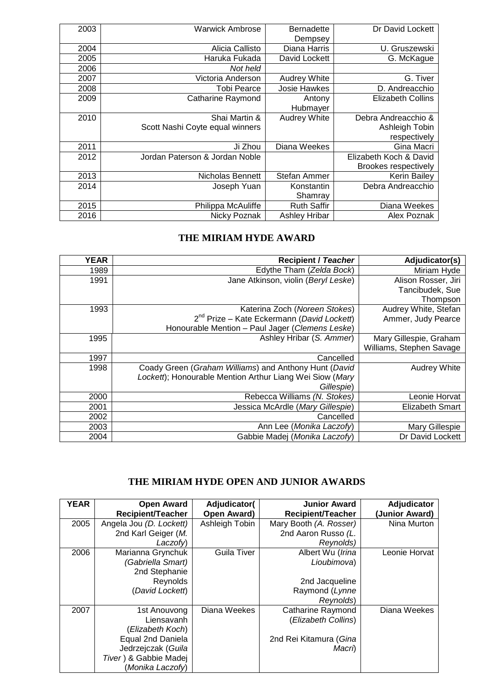| Dr David Lockett         | <b>Bernadette</b>    | <b>Warwick Ambrose</b>          | 2003 |
|--------------------------|----------------------|---------------------------------|------|
|                          | Dempsey              |                                 |      |
| U. Gruszewski            | Diana Harris         | Alicia Callisto                 | 2004 |
| G. McKague               | David Lockett        | Haruka Fukada                   | 2005 |
|                          |                      | Not held                        | 2006 |
| G. Tiver                 | <b>Audrey White</b>  | Victoria Anderson               | 2007 |
| D. Andreacchio           | <b>Josie Hawkes</b>  | <b>Tobi Pearce</b>              | 2008 |
| <b>Elizabeth Collins</b> | Antony               | Catharine Raymond               | 2009 |
|                          | Hubmayer             |                                 |      |
| Debra Andreacchio &      | Audrey White         | Shai Martin &                   | 2010 |
| Ashleigh Tobin           |                      | Scott Nashi Coyte equal winners |      |
| respectively             |                      |                                 |      |
| Gina Macri               | Diana Weekes         | Ji Zhou                         | 2011 |
| Elizabeth Koch & David   |                      | Jordan Paterson & Jordan Noble  | 2012 |
| Brookes respectively     |                      |                                 |      |
| <b>Kerin Bailey</b>      | Stefan Ammer         | <b>Nicholas Bennett</b>         | 2013 |
| Debra Andreacchio        | Konstantin           | Joseph Yuan                     | 2014 |
|                          | Shamray              |                                 |      |
| Diana Weekes             | <b>Ruth Saffir</b>   | Philippa McAuliffe              | 2015 |
| Alex Poznak              | <b>Ashley Hribar</b> | Nicky Poznak                    | 2016 |
|                          |                      |                                 |      |

# **THE MIRIAM HYDE AWARD**

| <b>YEAR</b> | <b>Recipient / Teacher</b>                               | Adjudicator(s)           |
|-------------|----------------------------------------------------------|--------------------------|
| 1989        | Edythe Tham (Zelda Bock)                                 | Miriam Hyde              |
| 1991        | Jane Atkinson, violin (Beryl Leske)                      | Alison Rosser, Jiri      |
|             |                                                          | Tancibudek, Sue          |
|             |                                                          | Thompson                 |
| 1993        | Katerina Zoch (Noreen Stokes)                            | Audrey White, Stefan     |
|             | $2^{nd}$ Prize – Kate Eckermann (David Lockett)          | Ammer, Judy Pearce       |
|             | Honourable Mention - Paul Jager (Clemens Leske)          |                          |
| 1995        | Ashley Hribar (S. Ammer)                                 | Mary Gillespie, Graham   |
|             |                                                          | Williams, Stephen Savage |
| 1997        | Cancelled                                                |                          |
| 1998        | Coady Green (Graham Williams) and Anthony Hunt (David    | Audrey White             |
|             | Lockett); Honourable Mention Arthur Liang Wei Siow (Mary |                          |
|             | Gillespie)                                               |                          |
| 2000        | Rebecca Williams (N. Stokes)                             | Leonie Horvat            |
| 2001        | Jessica McArdle (Mary Gillespie)                         | Elizabeth Smart          |
| 2002        | Cancelled                                                |                          |
| 2003        | Ann Lee ( <i>Monika Laczofy</i> )                        | Mary Gillespie           |
| 2004        | Gabbie Madej (Monika Laczofy)                            | Dr David Lockett         |

# **THE MIRIAM HYDE OPEN AND JUNIOR AWARDS**

| <b>YEAR</b> | <b>Open Award</b><br><b>Recipient/Teacher</b> | Adjudicator(<br>Open Award) | <b>Junior Award</b><br><b>Recipient/Teacher</b> | Adjudicator<br>(Junior Award) |
|-------------|-----------------------------------------------|-----------------------------|-------------------------------------------------|-------------------------------|
| 2005        | Angela Jou (D. Lockett)                       | Ashleigh Tobin              | Mary Booth (A. Rosser)                          | Nina Murton                   |
|             | 2nd Karl Geiger (M.                           |                             | 2nd Aaron Russo (L.                             |                               |
|             | Laczofy)                                      |                             | Reynolds)                                       |                               |
| 2006        | Marianna Grynchuk                             | <b>Guila Tiver</b>          | Albert Wu (Irina                                | Leonie Horvat                 |
|             | (Gabriella Smart)                             |                             | Lioubimova)                                     |                               |
|             | 2nd Stephanie                                 |                             |                                                 |                               |
|             | Reynolds                                      |                             | 2nd Jacqueline                                  |                               |
|             | (David Lockett)                               |                             | Raymond (Lynne                                  |                               |
|             |                                               |                             | Reynolds)                                       |                               |
| 2007        | 1st Anouvong                                  | Diana Weekes                | <b>Catharine Raymond</b>                        | Diana Weekes                  |
|             | Liensavanh                                    |                             | (Elizabeth Collins)                             |                               |
|             | (Elizabeth Koch)                              |                             |                                                 |                               |
|             | Equal 2nd Daniela                             |                             | 2nd Rei Kitamura (Gina                          |                               |
|             | Jedrzejczak (Guila                            |                             | Macri)                                          |                               |
|             | Tiver) & Gabbie Madej                         |                             |                                                 |                               |
|             | (Monika Laczofy)                              |                             |                                                 |                               |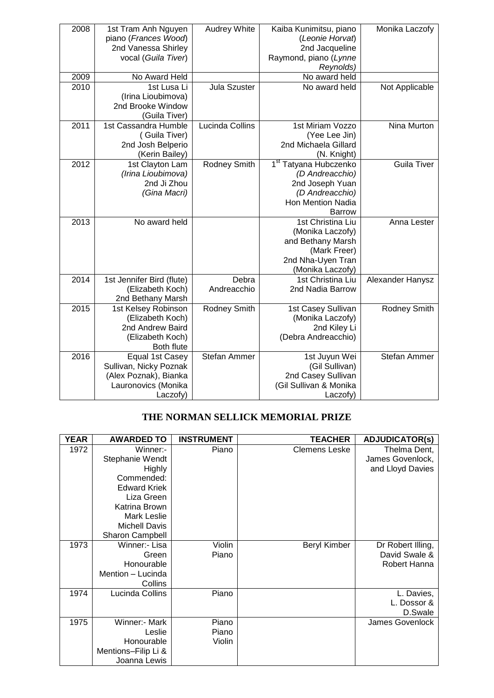| 2008<br>2009<br>2010 | 1st Tram Anh Nguyen<br>piano (Frances Wood)<br>2nd Vanessa Shirley<br>vocal (Guila Tiver)<br>No Award Held<br>1st Lusa Li<br>(Irina Lioubimova)<br>2nd Brooke Window<br>(Guila Tiver) | Audrey White<br>Jula Szuster | Kaiba Kunimitsu, piano<br>(Leonie Horvat)<br>2nd Jacqueline<br>Raymond, piano (Lynne<br>Reynolds)<br>No award held<br>No award held | Monika Laczofy<br>Not Applicable |
|----------------------|---------------------------------------------------------------------------------------------------------------------------------------------------------------------------------------|------------------------------|-------------------------------------------------------------------------------------------------------------------------------------|----------------------------------|
| 2011                 | 1st Cassandra Humble<br>(Guila Tiver)<br>2nd Josh Belperio<br>(Kerin Bailey)                                                                                                          | Lucinda Collins              | 1st Miriam Vozzo<br>(Yee Lee Jin)<br>2nd Michaela Gillard<br>(N. Knight)                                                            | Nina Murton                      |
| 2012                 | 1st Clayton Lam<br>(Irina Lioubimova)<br>2nd Ji Zhou<br>(Gina Macri)                                                                                                                  | <b>Rodney Smith</b>          | 1 <sup>st</sup> Tatyana Hubczenko<br>(D Andreacchio)<br>2nd Joseph Yuan<br>(D Andreacchio)<br>Hon Mention Nadia<br><b>Barrow</b>    | <b>Guila Tiver</b>               |
| 2013                 | No award held                                                                                                                                                                         |                              | 1st Christina Liu<br>(Monika Laczofy)<br>and Bethany Marsh<br>(Mark Freer)<br>2nd Nha-Uyen Tran<br>(Monika Laczofy)                 | Anna Lester                      |
| 2014                 | 1st Jennifer Bird (flute)<br>(Elizabeth Koch)<br>2nd Bethany Marsh                                                                                                                    | Debra<br>Andreacchio         | 1st Christina Liu<br>2nd Nadia Barrow                                                                                               | Alexander Hanysz                 |
| 2015                 | 1st Kelsey Robinson<br>(Elizabeth Koch)<br>2nd Andrew Baird<br>(Elizabeth Koch)<br>Both flute                                                                                         | <b>Rodney Smith</b>          | 1st Casey Sullivan<br>(Monika Laczofy)<br>2nd Kiley Li<br>(Debra Andreacchio)                                                       | Rodney Smith                     |
| 2016                 | Equal 1st Casey<br>Sullivan, Nicky Poznak<br>(Alex Poznak), Bianka<br>Lauronovics (Monika<br>Laczofy)                                                                                 | Stefan Ammer                 | 1st Juyun Wei<br>(Gil Sullivan)<br>2nd Casey Sullivan<br>(Gil Sullivan & Monika<br>Laczofy)                                         | Stefan Ammer                     |

#### **THE NORMAN SELLICK MEMORIAL PRIZE**

| YEAR | <b>AWARDED TO</b>                                                                                                                                                   | <b>INSTRUMENT</b>        | <b>TEACHER</b>       | <b>ADJUDICATOR(s)</b>                                |
|------|---------------------------------------------------------------------------------------------------------------------------------------------------------------------|--------------------------|----------------------|------------------------------------------------------|
| 1972 | Winner:-<br>Stephanie Wendt<br>Highly<br>Commended:<br><b>Edward Kriek</b><br>Liza Green<br>Katrina Brown<br>Mark Leslie<br><b>Michell Davis</b><br>Sharon Campbell | Piano                    | <b>Clemens Leske</b> | Thelma Dent,<br>James Govenlock,<br>and Lloyd Davies |
| 1973 | Winner:- Lisa<br>Green<br>Honourable<br>Mention - Lucinda<br>Collins                                                                                                | Violin<br>Piano          | Beryl Kimber         | Dr Robert Illing,<br>David Swale &<br>Robert Hanna   |
| 1974 | Lucinda Collins                                                                                                                                                     | Piano                    |                      | L. Davies,<br>L. Dossor &<br>D.Swale                 |
| 1975 | Winner:- Mark<br>Leslie<br>Honourable<br>Mentions-Filip Li &<br>Joanna Lewis                                                                                        | Piano<br>Piano<br>Violin |                      | James Govenlock                                      |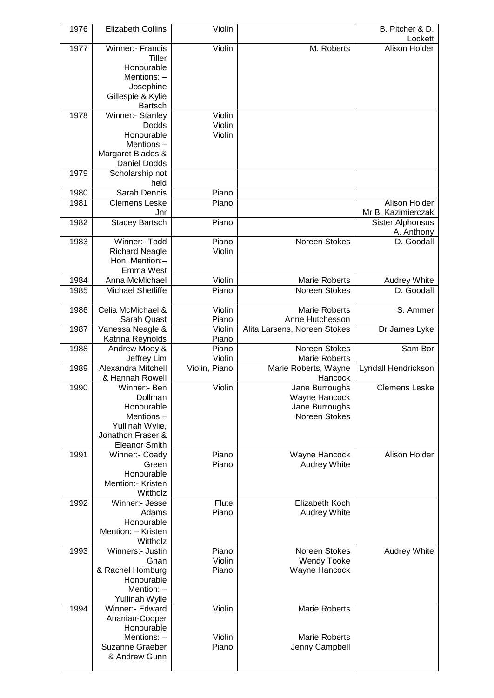| 1976         | <b>Elizabeth Collins</b>                   | Violin                  |                                         | B. Pitcher & D.<br>Lockett |
|--------------|--------------------------------------------|-------------------------|-----------------------------------------|----------------------------|
| 1977         | Winner:- Francis                           | Violin                  | M. Roberts                              | Alison Holder              |
|              | Tiller                                     |                         |                                         |                            |
|              | Honourable<br>Mentions: -                  |                         |                                         |                            |
|              | Josephine                                  |                         |                                         |                            |
|              | Gillespie & Kylie                          |                         |                                         |                            |
|              | <b>Bartsch</b>                             |                         |                                         |                            |
| 1978         | Winner:- Stanley<br>Dodds                  | Violin<br>Violin        |                                         |                            |
|              | Honourable                                 | Violin                  |                                         |                            |
|              | Mentions-                                  |                         |                                         |                            |
|              | Margaret Blades &                          |                         |                                         |                            |
| 1979         | Daniel Dodds                               |                         |                                         |                            |
|              | Scholarship not<br>held                    |                         |                                         |                            |
| 1980         | Sarah Dennis                               | Piano                   |                                         |                            |
| 1981         | <b>Clemens Leske</b>                       | Piano                   |                                         | Alison Holder              |
|              | Jnr                                        |                         |                                         | Mr B. Kazimierczak         |
| 1982         | <b>Stacey Bartsch</b>                      | Piano                   |                                         | Sister Alphonsus           |
| 1983         | Winner:- Todd                              | Piano                   | Noreen Stokes                           | A. Anthony<br>D. Goodall   |
|              | <b>Richard Neagle</b>                      | Violin                  |                                         |                            |
|              | Hon. Mention:-                             |                         |                                         |                            |
|              | Emma West                                  |                         |                                         |                            |
| 1984<br>1985 | Anna McMichael<br><b>Michael Shetliffe</b> | Violin<br>Piano         | Marie Roberts<br>Noreen Stokes          | Audrey White<br>D. Goodall |
|              |                                            |                         |                                         |                            |
| 1986         | Celia McMichael &<br>Sarah Quast           | Violin<br>Piano         | <b>Marie Roberts</b><br>Anne Hutchesson | S. Ammer                   |
| 1987         | Vanessa Neagle &                           | Violin                  | Alita Larsens, Noreen Stokes            | Dr James Lyke              |
|              | Katrina Reynolds                           | Piano                   |                                         |                            |
| 1988         | Andrew Moey &                              | Piano                   | Noreen Stokes                           | Sam Bor                    |
| 1989         | Jeffrey Lim<br>Alexandra Mitchell          | Violin<br>Violin, Piano | Marie Roberts<br>Marie Roberts, Wayne   | Lyndall Hendrickson        |
|              | & Hannah Rowell                            |                         | Hancock                                 |                            |
| 1990         | Winner:- Ben                               | Violin                  | Jane Burroughs                          | <b>Clemens Leske</b>       |
|              | Dollman                                    |                         | Wayne Hancock                           |                            |
|              | Honourable<br>Mentions-                    |                         | Jane Burroughs<br>Noreen Stokes         |                            |
|              | Yullinah Wylie,                            |                         |                                         |                            |
|              | Jonathon Fraser &                          |                         |                                         |                            |
|              | <b>Eleanor Smith</b>                       |                         |                                         |                            |
| 1991         | Winner:- Coady<br>Green                    | Piano<br>Piano          | Wayne Hancock<br>Audrey White           | Alison Holder              |
|              | Honourable                                 |                         |                                         |                            |
|              | Mention:- Kristen                          |                         |                                         |                            |
|              | Wittholz                                   |                         |                                         |                            |
| 1992         | Winner:- Jesse<br>Adams                    | Flute<br>Piano          | Elizabeth Koch                          |                            |
|              | Honourable                                 |                         | Audrey White                            |                            |
|              | Mention: - Kristen                         |                         |                                         |                            |
|              | Wittholz                                   |                         |                                         |                            |
| 1993         | Winners:- Justin                           | Piano                   | Noreen Stokes                           | Audrey White               |
|              | Ghan<br>& Rachel Homburg                   | Violin<br>Piano         | <b>Wendy Tooke</b><br>Wayne Hancock     |                            |
|              | Honourable                                 |                         |                                         |                            |
|              | Mention: -                                 |                         |                                         |                            |
|              | <b>Yullinah Wylie</b>                      |                         |                                         |                            |
| 1994         | Winner:- Edward<br>Ananian-Cooper          | Violin                  | <b>Marie Roberts</b>                    |                            |
|              | Honourable                                 |                         |                                         |                            |
|              | Mentions: -                                | Violin                  | <b>Marie Roberts</b>                    |                            |
|              | Suzanne Graeber                            | Piano                   | Jenny Campbell                          |                            |
|              | & Andrew Gunn                              |                         |                                         |                            |
|              |                                            |                         |                                         |                            |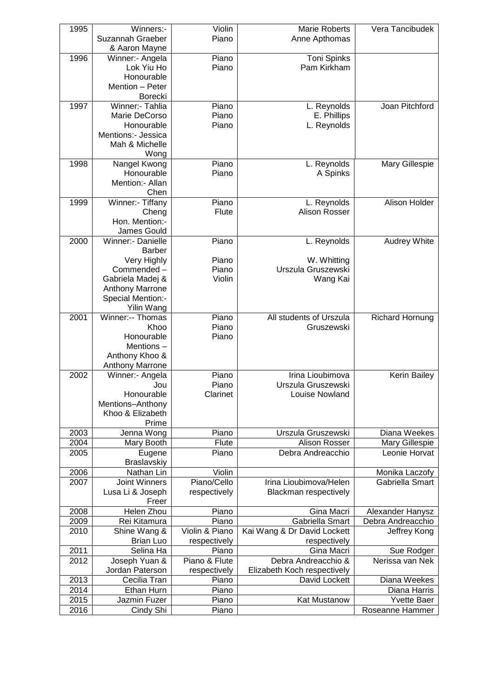| 1995 | Winners:-              | Violin         | <b>Marie Roberts</b>        | Vera Tancibudek        |
|------|------------------------|----------------|-----------------------------|------------------------|
|      | Suzannah Graeber       | Piano          | Anne Apthomas               |                        |
|      | & Aaron Mayne          |                |                             |                        |
| 1996 | Winner:- Angela        | Piano          | Toni Spinks                 |                        |
|      | Lok Yiu Ho             | Piano          | Pam Kirkham                 |                        |
|      | Honourable             |                |                             |                        |
|      | Mention - Peter        |                |                             |                        |
|      | Borecki                |                |                             |                        |
| 1997 | Winner:- Tahlia        | Piano          | L. Reynolds                 | Joan Pitchford         |
|      | Marie DeCorso          | Piano          | E. Phillips                 |                        |
|      | Honourable             | Piano          | L. Reynolds                 |                        |
|      | Mentions:- Jessica     |                |                             |                        |
|      | Mah & Michelle         |                |                             |                        |
|      | Wong                   |                |                             |                        |
| 1998 | Nangel Kwong           | Piano          | L. Reynolds                 | Mary Gillespie         |
|      | Honourable             | Piano          | A Spinks                    |                        |
|      | Mention:- Allan        |                |                             |                        |
|      | Chen                   |                |                             |                        |
| 1999 | Winner:- Tiffany       | Piano          | L. Reynolds                 | Alison Holder          |
|      | Cheng                  | Flute          | Alison Rosser               |                        |
|      | Hon. Mention:-         |                |                             |                        |
|      | James Gould            |                |                             |                        |
| 2000 | Winner:- Danielle      | Piano          | L. Reynolds                 | Audrey White           |
|      | <b>Barber</b>          |                |                             |                        |
|      | Very Highly            | Piano          | W. Whitting                 |                        |
|      | Commended-             | Piano          | Urszula Gruszewski          |                        |
|      | Gabriela Madej &       | Violin         | Wang Kai                    |                        |
|      | <b>Anthony Marrone</b> |                |                             |                        |
|      | Special Mention:-      |                |                             |                        |
|      | Yilin Wang             |                |                             |                        |
| 2001 | Winner:-- Thomas       | Piano          | All students of Urszula     | <b>Richard Hornung</b> |
|      | Khoo                   | Piano          | Gruszewski                  |                        |
|      | Honourable             | Piano          |                             |                        |
|      | Mentions-              |                |                             |                        |
|      | Anthony Khoo &         |                |                             |                        |
|      | <b>Anthony Marrone</b> |                |                             |                        |
| 2002 | Winner:- Angela        | Piano          | Irina Lioubimova            | <b>Kerin Bailey</b>    |
|      | Jou                    | Piano          | Urszula Gruszewski          |                        |
|      | Honourable             | Clarinet       | Louise Nowland              |                        |
|      | Mentions-Anthony       |                |                             |                        |
|      | Khoo & Elizabeth       |                |                             |                        |
|      | Prime                  |                |                             |                        |
| 2003 | Jenna Wong             | Piano          | Urszula Gruszewski          | Diana Weekes           |
| 2004 | Mary Booth             | Flute          | Alison Rosser               | Mary Gillespie         |
| 2005 | Eugene                 | Piano          | Debra Andreacchio           | Leonie Horvat          |
|      | Braslavskiy            |                |                             |                        |
| 2006 | Nathan Lin             | Violin         |                             | Monika Laczofy         |
| 2007 | <b>Joint Winners</b>   | Piano/Cello    | Irina Lioubimova/Helen      | Gabriella Smart        |
|      | Lusa Li & Joseph       | respectively   | Blackman respectively       |                        |
|      | Freer                  |                |                             |                        |
| 2008 | Helen Zhou             | Piano          | Gina Macri                  | Alexander Hanysz       |
| 2009 | Rei Kitamura           | Piano          | Gabriella Smart             | Debra Andreacchio      |
| 2010 | Shine Wang &           | Violin & Piano | Kai Wang & Dr David Lockett | Jeffrey Kong           |
|      | <b>Brian Luo</b>       | respectively   | respectively                |                        |
| 2011 | Selina Ha              | Piano          | Gina Macri                  | Sue Rodger             |
| 2012 | Joseph Yuan &          | Piano & Flute  | Debra Andreacchio &         | Nerissa van Nek        |
|      | Jordan Paterson        | respectively   | Elizabeth Koch respectively |                        |
| 2013 | Cecilia Tran           | Piano          | David Lockett               | Diana Weekes           |
| 2014 | Ethan Hurn             | Piano          |                             | Diana Harris           |
| 2015 | Jazmin Fuzer           | Piano          | Kat Mustanow                | <b>Yvette Baer</b>     |
|      |                        |                |                             |                        |
| 2016 | Cindy Shi              | Piano          |                             | Roseanne Hammer        |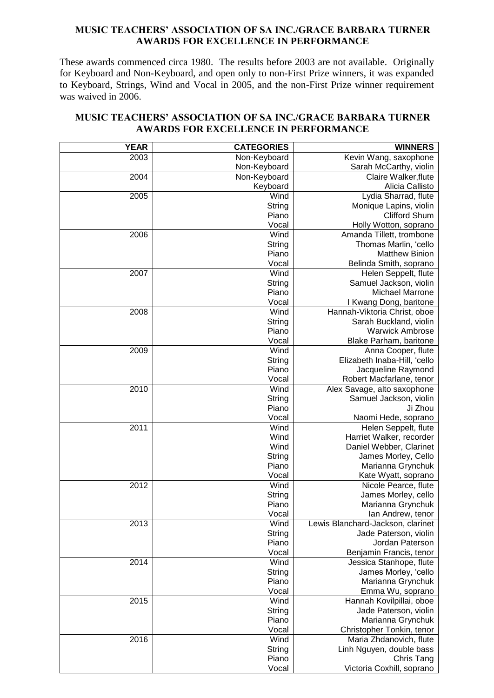#### **MUSIC TEACHERS' ASSOCIATION OF SA INC./GRACE BARBARA TURNER AWARDS FOR EXCELLENCE IN PERFORMANCE**

These awards commenced circa 1980. The results before 2003 are not available. Originally for Keyboard and Non-Keyboard, and open only to non-First Prize winners, it was expanded to Keyboard, Strings, Wind and Vocal in 2005, and the non-First Prize winner requirement was waived in 2006.

| <b>MUSIC TEACHERS' ASSOCIATION OF SA INC./GRACE BARBARA TURNER</b> |  |
|--------------------------------------------------------------------|--|
| <b>AWARDS FOR EXCELLENCE IN PERFORMANCE</b>                        |  |

| <b>YEAR</b> | <b>CATEGORIES</b> | <b>WINNERS</b>                              |
|-------------|-------------------|---------------------------------------------|
| 2003        | Non-Keyboard      | Kevin Wang, saxophone                       |
|             | Non-Keyboard      | Sarah McCarthy, violin                      |
| 2004        | Non-Keyboard      | Claire Walker, flute                        |
|             | Keyboard          | Alicia Callisto                             |
| 2005        | Wind              | Lydia Sharrad, flute                        |
|             | String            | Monique Lapins, violin                      |
|             | Piano             | <b>Clifford Shum</b>                        |
|             | Vocal             | Holly Wotton, soprano                       |
| 2006        | Wind              | Amanda Tillett, trombone                    |
|             | String            | Thomas Marlin, 'cello                       |
|             | Piano             | <b>Matthew Binion</b>                       |
|             | Vocal             | Belinda Smith, soprano                      |
| 2007        | Wind              | Helen Seppelt, flute                        |
|             | String            | Samuel Jackson, violin                      |
|             | Piano             | Michael Marrone                             |
|             | Vocal             | I Kwang Dong, baritone                      |
| 2008        | Wind              | Hannah-Viktoria Christ, oboe                |
|             | String            | Sarah Buckland, violin                      |
|             | Piano             | <b>Warwick Ambrose</b>                      |
|             | Vocal             | Blake Parham, baritone                      |
| 2009        | Wind              | Anna Cooper, flute                          |
|             | String            | Elizabeth Inaba-Hill, 'cello                |
|             | Piano             | Jacqueline Raymond                          |
|             | Vocal             | Robert Macfarlane, tenor                    |
| 2010        | Wind              | Alex Savage, alto saxophone                 |
|             | String            | Samuel Jackson, violin                      |
|             | Piano             | Ji Zhou                                     |
|             | Vocal             | Naomi Hede, soprano                         |
| 2011        | Wind              | Helen Seppelt, flute                        |
|             | Wind              | Harriet Walker, recorder                    |
|             | Wind              | Daniel Webber, Clarinet                     |
|             | String<br>Piano   | James Morley, Cello<br>Marianna Grynchuk    |
|             | Vocal             |                                             |
| 2012        | Wind              | Kate Wyatt, soprano<br>Nicole Pearce, flute |
|             | String            | James Morley, cello                         |
|             | Piano             | Marianna Grynchuk                           |
|             | Vocal             | Ian Andrew, tenor                           |
| 2013        | Wind              | Lewis Blanchard-Jackson, clarinet           |
|             | String            | Jade Paterson, violin                       |
|             | Piano             | Jordan Paterson                             |
|             | Vocal             | Benjamin Francis, tenor                     |
| 2014        | Wind              | Jessica Stanhope, flute                     |
|             | String            | James Morley, 'cello                        |
|             | Piano             | Marianna Grynchuk                           |
|             | Vocal             | Emma Wu, soprano                            |
| 2015        | Wind              | Hannah Kovilpillai, oboe                    |
|             | String            | Jade Paterson, violin                       |
|             | Piano             | Marianna Grynchuk                           |
|             | Vocal             | Christopher Tonkin, tenor                   |
| 2016        | Wind              | Maria Zhdanovich, flute                     |
|             | String            | Linh Nguyen, double bass                    |
|             | Piano             | Chris Tang                                  |
|             | Vocal             | Victoria Coxhill, soprano                   |